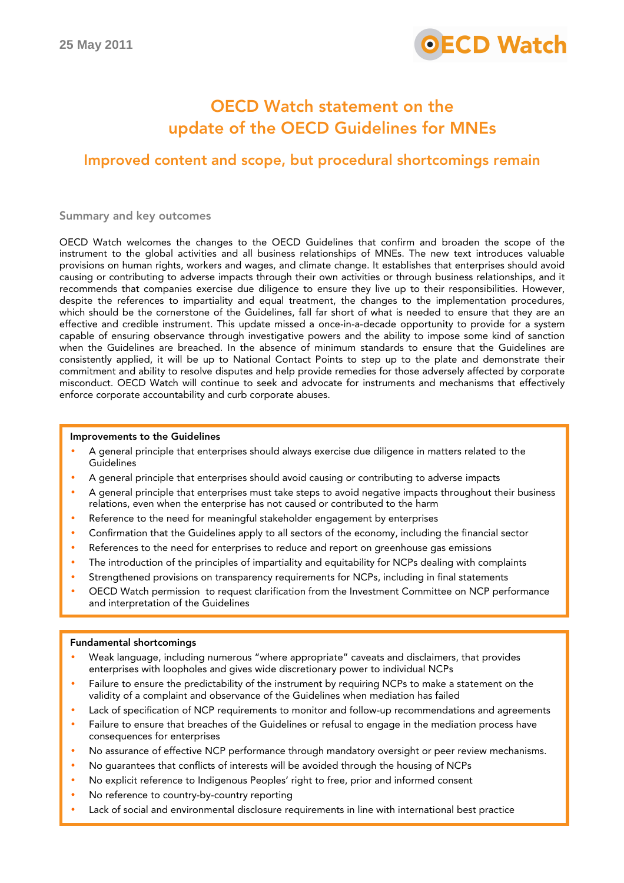

# OECD Watch statement on the update of the OECD Guidelines for MNEs

## Improved content and scope, but procedural shortcomings remain

### Summary and key outcomes

OECD Watch welcomes the changes to the OECD Guidelines that confirm and broaden the scope of the instrument to the global activities and all business relationships of MNEs. The new text introduces valuable provisions on human rights, workers and wages, and climate change. It establishes that enterprises should avoid causing or contributing to adverse impacts through their own activities or through business relationships, and it recommends that companies exercise due diligence to ensure they live up to their responsibilities. However, despite the references to impartiality and equal treatment, the changes to the implementation procedures, which should be the cornerstone of the Guidelines, fall far short of what is needed to ensure that they are an effective and credible instrument. This update missed a once-in-a-decade opportunity to provide for a system capable of ensuring observance through investigative powers and the ability to impose some kind of sanction when the Guidelines are breached. In the absence of minimum standards to ensure that the Guidelines are consistently applied, it will be up to National Contact Points to step up to the plate and demonstrate their commitment and ability to resolve disputes and help provide remedies for those adversely affected by corporate misconduct. OECD Watch will continue to seek and advocate for instruments and mechanisms that effectively enforce corporate accountability and curb corporate abuses.

#### Improvements to the Guidelines

- A general principle that enterprises should always exercise due diligence in matters related to the **Guidelines**
- A general principle that enterprises should avoid causing or contributing to adverse impacts
- A general principle that enterprises must take steps to avoid negative impacts throughout their business relations, even when the enterprise has not caused or contributed to the harm
- Reference to the need for meaningful stakeholder engagement by enterprises
- Confirmation that the Guidelines apply to all sectors of the economy, including the financial sector
- References to the need for enterprises to reduce and report on greenhouse gas emissions
- The introduction of the principles of impartiality and equitability for NCPs dealing with complaints
- Strengthened provisions on transparency requirements for NCPs, including in final statements
- OECD Watch permission to request clarification from the Investment Committee on NCP performance and interpretation of the Guidelines

#### Fundamental shortcomings

- Weak language, including numerous "where appropriate" caveats and disclaimers, that provides enterprises with loopholes and gives wide discretionary power to individual NCPs
- Failure to ensure the predictability of the instrument by requiring NCPs to make a statement on the validity of a complaint and observance of the Guidelines when mediation has failed
- Lack of specification of NCP requirements to monitor and follow-up recommendations and agreements
- Failure to ensure that breaches of the Guidelines or refusal to engage in the mediation process have consequences for enterprises
- No assurance of effective NCP performance through mandatory oversight or peer review mechanisms.
- No guarantees that conflicts of interests will be avoided through the housing of NCPs
- No explicit reference to Indigenous Peoples' right to free, prior and informed consent
- No reference to country-by-country reporting
- Lack of social and environmental disclosure requirements in line with international best practice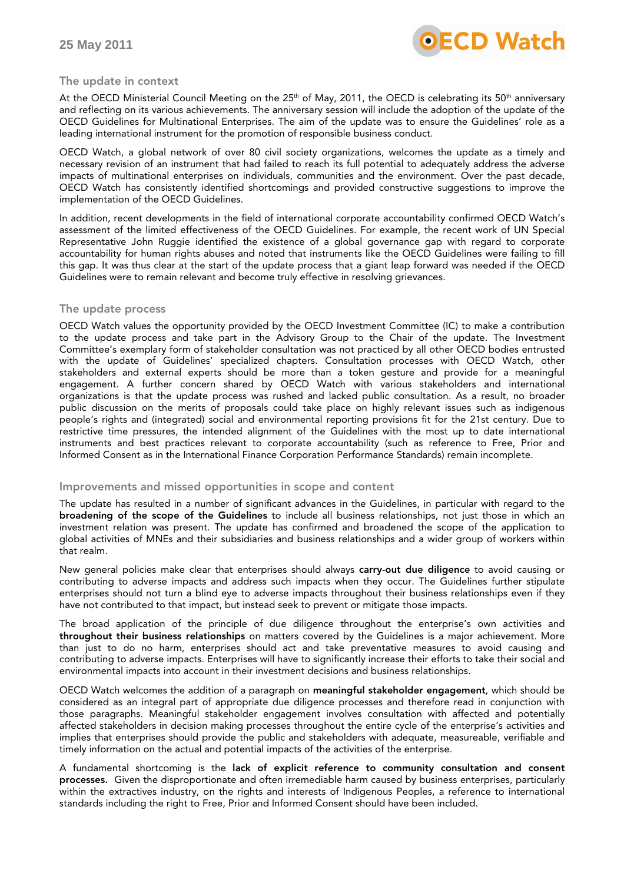

#### The update in context

At the OECD Ministerial Council Meeting on the 25<sup>th</sup> of May, 2011, the OECD is celebrating its 50<sup>th</sup> anniversary and reflecting on its various achievements. The anniversary session will include the adoption of the update of the OECD Guidelines for Multinational Enterprises. The aim of the update was to ensure the Guidelines' role as a leading international instrument for the promotion of responsible business conduct.

OECD Watch, a global network of over 80 civil society organizations, welcomes the update as a timely and necessary revision of an instrument that had failed to reach its full potential to adequately address the adverse impacts of multinational enterprises on individuals, communities and the environment. Over the past decade, OECD Watch has consistently identified shortcomings and provided constructive suggestions to improve the implementation of the OECD Guidelines.

In addition, recent developments in the field of international corporate accountability confirmed OECD Watch's assessment of the limited effectiveness of the OECD Guidelines. For example, the recent work of UN Special Representative John Ruggie identified the existence of a global governance gap with regard to corporate accountability for human rights abuses and noted that instruments like the OECD Guidelines were failing to fill this gap. It was thus clear at the start of the update process that a giant leap forward was needed if the OECD Guidelines were to remain relevant and become truly effective in resolving grievances.

#### The update process

OECD Watch values the opportunity provided by the OECD Investment Committee (IC) to make a contribution to the update process and take part in the Advisory Group to the Chair of the update. The Investment Committee's exemplary form of stakeholder consultation was not practiced by all other OECD bodies entrusted with the update of Guidelines' specialized chapters. Consultation processes with OECD Watch, other stakeholders and external experts should be more than a token gesture and provide for a meaningful engagement. A further concern shared by OECD Watch with various stakeholders and international organizations is that the update process was rushed and lacked public consultation. As a result, no broader public discussion on the merits of proposals could take place on highly relevant issues such as indigenous people's rights and (integrated) social and environmental reporting provisions fit for the 21st century. Due to restrictive time pressures, the intended alignment of the Guidelines with the most up to date international instruments and best practices relevant to corporate accountability (such as reference to Free, Prior and Informed Consent as in the International Finance Corporation Performance Standards) remain incomplete.

#### Improvements and missed opportunities in scope and content

The update has resulted in a number of significant advances in the Guidelines, in particular with regard to the broadening of the scope of the Guidelines to include all business relationships, not just those in which an investment relation was present. The update has confirmed and broadened the scope of the application to global activities of MNEs and their subsidiaries and business relationships and a wider group of workers within that realm.

New general policies make clear that enterprises should always carry-out due diligence to avoid causing or contributing to adverse impacts and address such impacts when they occur. The Guidelines further stipulate enterprises should not turn a blind eye to adverse impacts throughout their business relationships even if they have not contributed to that impact, but instead seek to prevent or mitigate those impacts.

The broad application of the principle of due diligence throughout the enterprise's own activities and throughout their business relationships on matters covered by the Guidelines is a major achievement. More than just to do no harm, enterprises should act and take preventative measures to avoid causing and contributing to adverse impacts. Enterprises will have to significantly increase their efforts to take their social and environmental impacts into account in their investment decisions and business relationships.

OECD Watch welcomes the addition of a paragraph on meaningful stakeholder engagement, which should be considered as an integral part of appropriate due diligence processes and therefore read in conjunction with those paragraphs. Meaningful stakeholder engagement involves consultation with affected and potentially affected stakeholders in decision making processes throughout the entire cycle of the enterprise's activities and implies that enterprises should provide the public and stakeholders with adequate, measureable, verifiable and timely information on the actual and potential impacts of the activities of the enterprise.

A fundamental shortcoming is the lack of explicit reference to community consultation and consent processes. Given the disproportionate and often irremediable harm caused by business enterprises, particularly within the extractives industry, on the rights and interests of Indigenous Peoples, a reference to international standards including the right to Free, Prior and Informed Consent should have been included.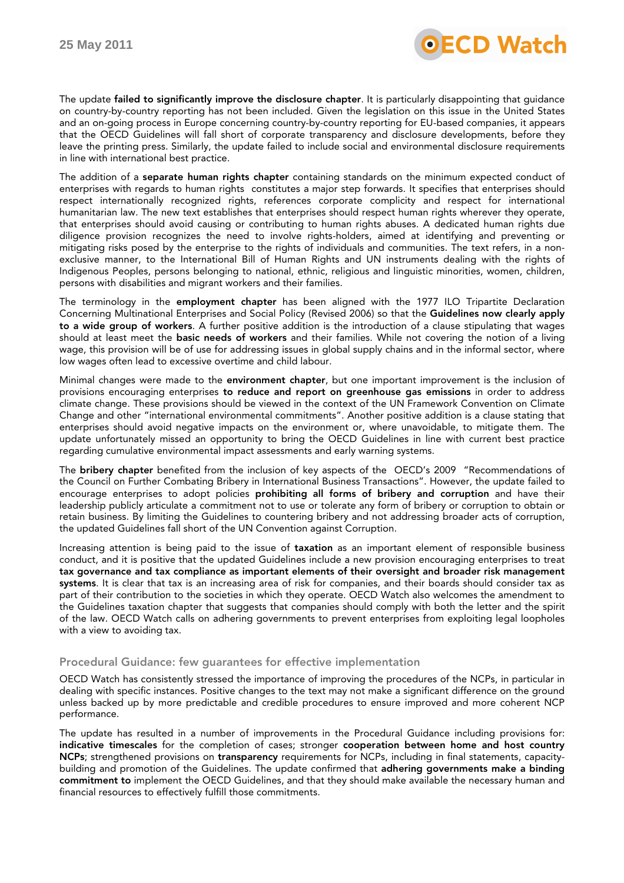

The update failed to significantly improve the disclosure chapter. It is particularly disappointing that quidance on country-by-country reporting has not been included. Given the legislation on this issue in the United States and an on-going process in Europe concerning country-by-country reporting for EU-based companies, it appears that the OECD Guidelines will fall short of corporate transparency and disclosure developments, before they leave the printing press. Similarly, the update failed to include social and environmental disclosure requirements in line with international best practice.

The addition of a separate human rights chapter containing standards on the minimum expected conduct of enterprises with regards to human rights constitutes a major step forwards. It specifies that enterprises should respect internationally recognized rights, references corporate complicity and respect for international humanitarian law. The new text establishes that enterprises should respect human rights wherever they operate, that enterprises should avoid causing or contributing to human rights abuses. A dedicated human rights due diligence provision recognizes the need to involve rights-holders, aimed at identifying and preventing or mitigating risks posed by the enterprise to the rights of individuals and communities. The text refers, in a nonexclusive manner, to the International Bill of Human Rights and UN instruments dealing with the rights of Indigenous Peoples, persons belonging to national, ethnic, religious and linguistic minorities, women, children, persons with disabilities and migrant workers and their families.

The terminology in the employment chapter has been aligned with the 1977 ILO Tripartite Declaration Concerning Multinational Enterprises and Social Policy (Revised 2006) so that the Guidelines now clearly apply to a wide group of workers. A further positive addition is the introduction of a clause stipulating that wages should at least meet the basic needs of workers and their families. While not covering the notion of a living wage, this provision will be of use for addressing issues in global supply chains and in the informal sector, where low wages often lead to excessive overtime and child labour.

Minimal changes were made to the environment chapter, but one important improvement is the inclusion of provisions encouraging enterprises to reduce and report on greenhouse gas emissions in order to address climate change. These provisions should be viewed in the context of the UN Framework Convention on Climate Change and other "international environmental commitments". Another positive addition is a clause stating that enterprises should avoid negative impacts on the environment or, where unavoidable, to mitigate them. The update unfortunately missed an opportunity to bring the OECD Guidelines in line with current best practice regarding cumulative environmental impact assessments and early warning systems.

The bribery chapter benefited from the inclusion of key aspects of the OECD's 2009 "Recommendations of the Council on Further Combating Bribery in International Business Transactions". However, the update failed to encourage enterprises to adopt policies prohibiting all forms of bribery and corruption and have their leadership publicly articulate a commitment not to use or tolerate any form of bribery or corruption to obtain or retain business. By limiting the Guidelines to countering bribery and not addressing broader acts of corruption, the updated Guidelines fall short of the UN Convention against Corruption.

Increasing attention is being paid to the issue of taxation as an important element of responsible business conduct, and it is positive that the updated Guidelines include a new provision encouraging enterprises to treat tax governance and tax compliance as important elements of their oversight and broader risk management systems. It is clear that tax is an increasing area of risk for companies, and their boards should consider tax as part of their contribution to the societies in which they operate. OECD Watch also welcomes the amendment to the Guidelines taxation chapter that suggests that companies should comply with both the letter and the spirit of the law. OECD Watch calls on adhering governments to prevent enterprises from exploiting legal loopholes with a view to avoiding tax.

#### Procedural Guidance: few guarantees for effective implementation

OECD Watch has consistently stressed the importance of improving the procedures of the NCPs, in particular in dealing with specific instances. Positive changes to the text may not make a significant difference on the ground unless backed up by more predictable and credible procedures to ensure improved and more coherent NCP performance.

The update has resulted in a number of improvements in the Procedural Guidance including provisions for: indicative timescales for the completion of cases; stronger cooperation between home and host country NCPs; strengthened provisions on transparency requirements for NCPs, including in final statements, capacitybuilding and promotion of the Guidelines. The update confirmed that adhering governments make a binding commitment to implement the OECD Guidelines, and that they should make available the necessary human and financial resources to effectively fulfill those commitments.